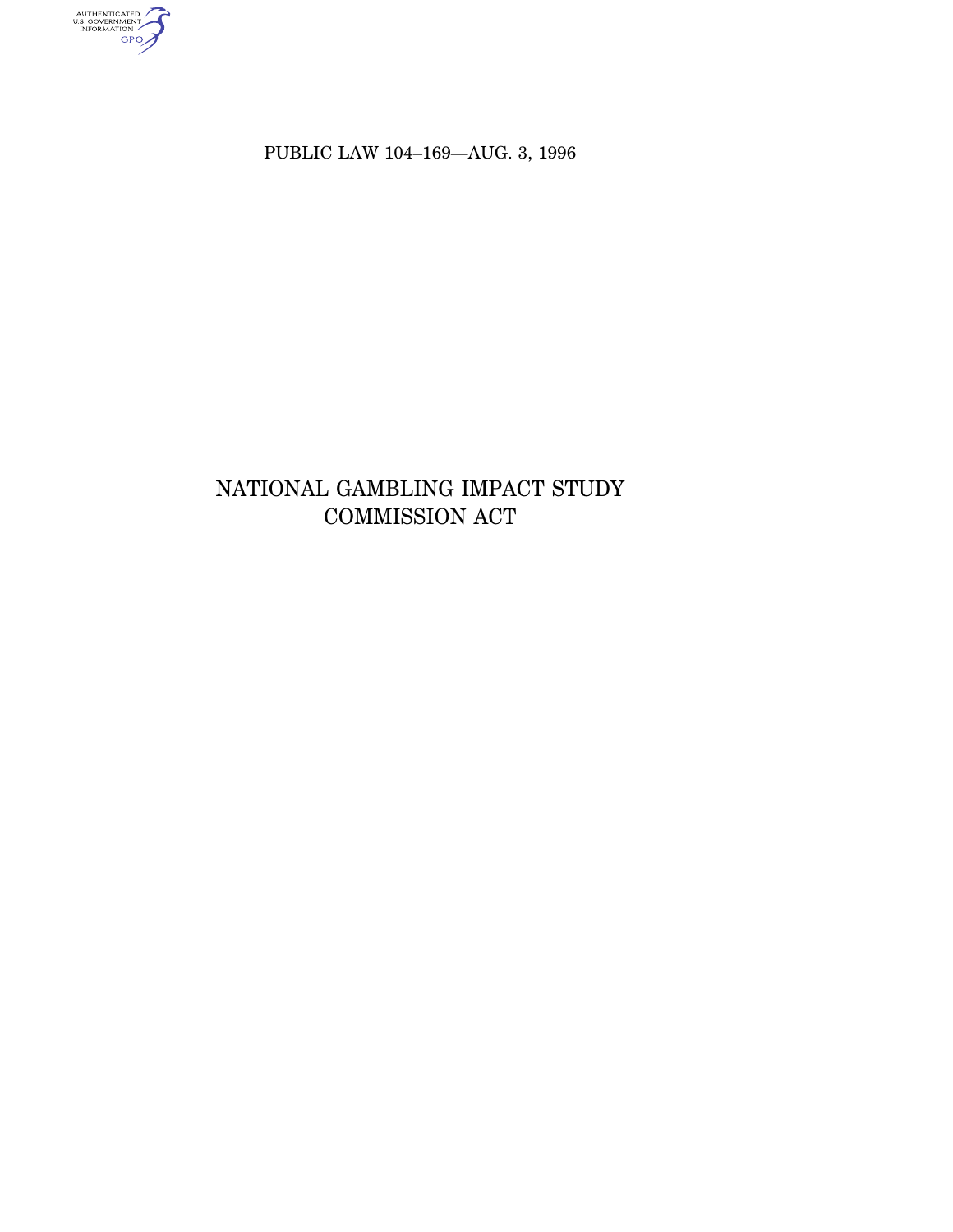authenticated<br>u.s. government<br>information<br>GPO

PUBLIC LAW 104–169—AUG. 3, 1996

# NATIONAL GAMBLING IMPACT STUDY COMMISSION ACT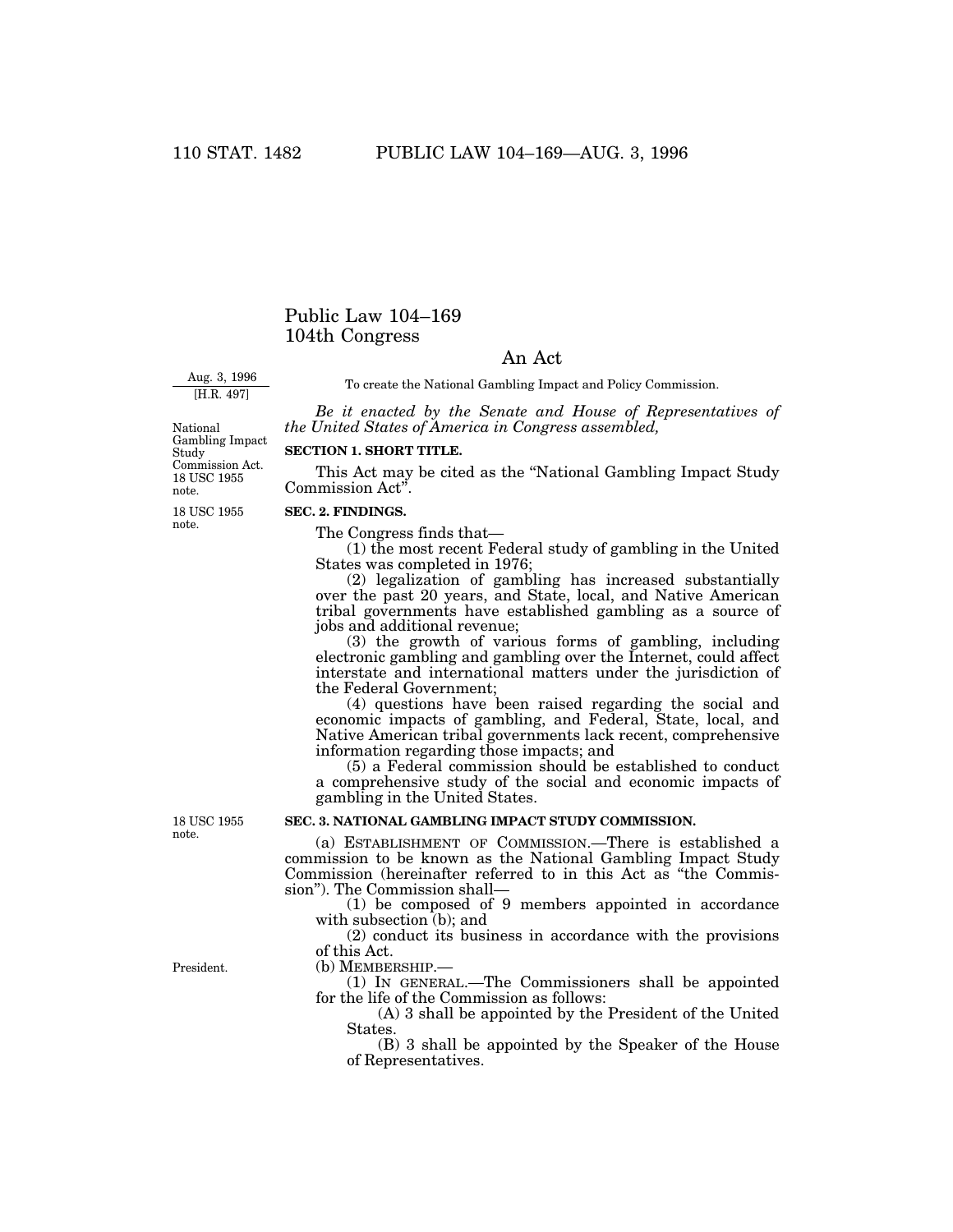# Public Law 104–169 104th Congress

# An Act

Aug. 3, 1996 [H.R. 497]

To create the National Gambling Impact and Policy Commission.

*Be it enacted by the Senate and House of Representatives of the United States of America in Congress assembled,*

18 USC 1955 note. National Gambling Impact Study Commission Act.

**SECTION 1. SHORT TITLE.**

This Act may be cited as the ''National Gambling Impact Study Commission Act''.

#### **SEC. 2. FINDINGS.** 18 USC 1955 note.

The Congress finds that—

(1) the most recent Federal study of gambling in the United States was completed in 1976;

(2) legalization of gambling has increased substantially over the past 20 years, and State, local, and Native American tribal governments have established gambling as a source of jobs and additional revenue;

(3) the growth of various forms of gambling, including electronic gambling and gambling over the Internet, could affect interstate and international matters under the jurisdiction of the Federal Government;

(4) questions have been raised regarding the social and economic impacts of gambling, and Federal, State, local, and Native American tribal governments lack recent, comprehensive information regarding those impacts; and

(5) a Federal commission should be established to conduct a comprehensive study of the social and economic impacts of gambling in the United States.

### **SEC. 3. NATIONAL GAMBLING IMPACT STUDY COMMISSION.**

(a) ESTABLISHMENT OF COMMISSION.—There is established a commission to be known as the National Gambling Impact Study Commission (hereinafter referred to in this Act as ''the Commission''). The Commission shall—

(1) be composed of 9 members appointed in accordance with subsection (b); and

(2) conduct its business in accordance with the provisions of this Act.

(b) MEMBERSHIP.—

(1) IN GENERAL.—The Commissioners shall be appointed for the life of the Commission as follows:

(A) 3 shall be appointed by the President of the United States.

(B) 3 shall be appointed by the Speaker of the House of Representatives.

18 USC 1955 note.

President.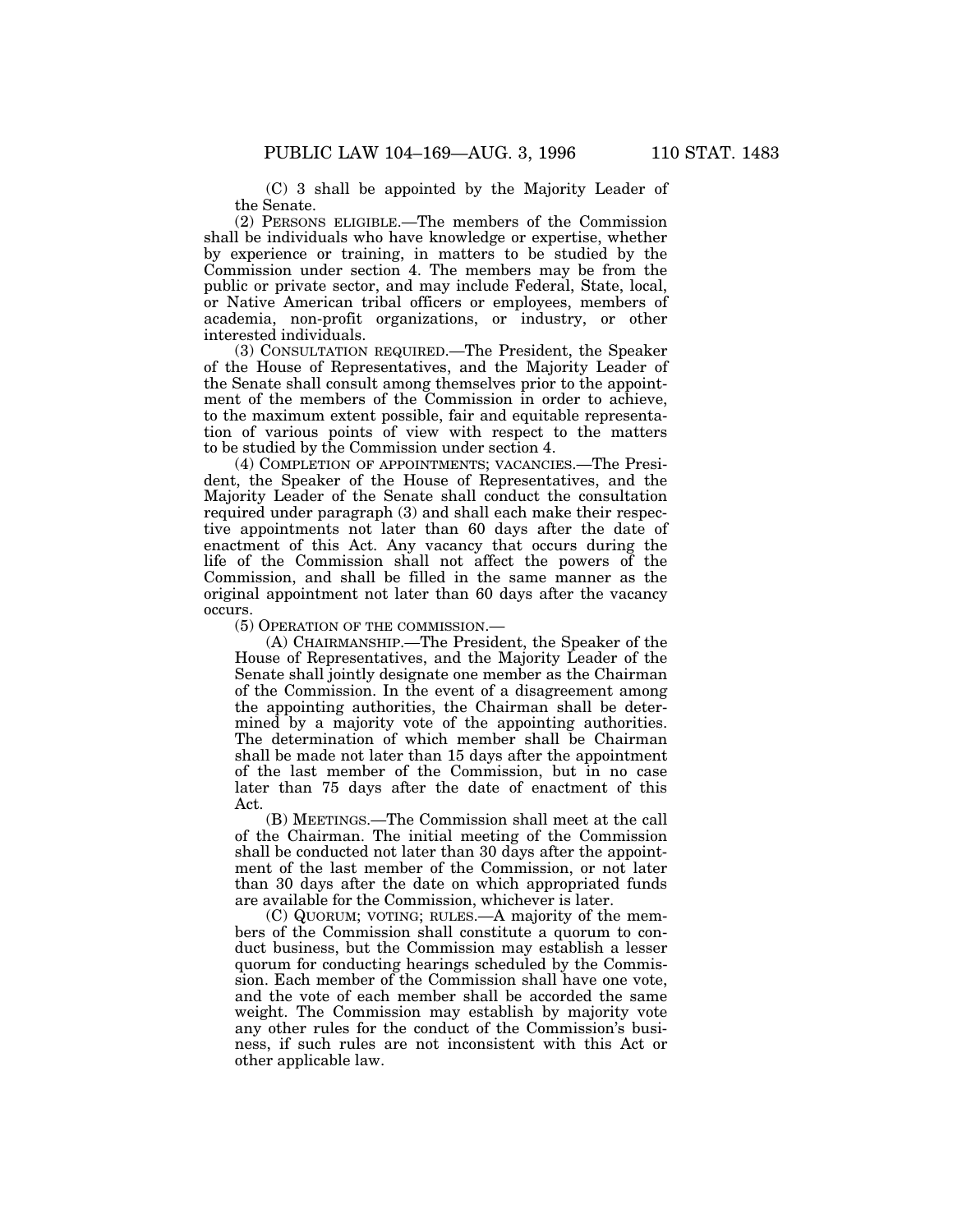(C) 3 shall be appointed by the Majority Leader of the Senate.

(2) PERSONS ELIGIBLE.—The members of the Commission shall be individuals who have knowledge or expertise, whether by experience or training, in matters to be studied by the Commission under section 4. The members may be from the public or private sector, and may include Federal, State, local, or Native American tribal officers or employees, members of academia, non-profit organizations, or industry, or other interested individuals.

(3) CONSULTATION REQUIRED.—The President, the Speaker of the House of Representatives, and the Majority Leader of the Senate shall consult among themselves prior to the appointment of the members of the Commission in order to achieve, to the maximum extent possible, fair and equitable representation of various points of view with respect to the matters to be studied by the Commission under section 4.

(4) COMPLETION OF APPOINTMENTS; VACANCIES.—The President, the Speaker of the House of Representatives, and the Majority Leader of the Senate shall conduct the consultation required under paragraph (3) and shall each make their respective appointments not later than 60 days after the date of enactment of this Act. Any vacancy that occurs during the life of the Commission shall not affect the powers of the Commission, and shall be filled in the same manner as the original appointment not later than 60 days after the vacancy occurs.

(5) OPERATION OF THE COMMISSION.—

(A) CHAIRMANSHIP.—The President, the Speaker of the House of Representatives, and the Majority Leader of the Senate shall jointly designate one member as the Chairman of the Commission. In the event of a disagreement among the appointing authorities, the Chairman shall be determined by a majority vote of the appointing authorities. The determination of which member shall be Chairman shall be made not later than 15 days after the appointment of the last member of the Commission, but in no case later than 75 days after the date of enactment of this Act.

(B) MEETINGS.—The Commission shall meet at the call of the Chairman. The initial meeting of the Commission shall be conducted not later than 30 days after the appointment of the last member of the Commission, or not later than 30 days after the date on which appropriated funds are available for the Commission, whichever is later.

(C) QUORUM; VOTING; RULES.—A majority of the members of the Commission shall constitute a quorum to conduct business, but the Commission may establish a lesser quorum for conducting hearings scheduled by the Commission. Each member of the Commission shall have one vote, and the vote of each member shall be accorded the same weight. The Commission may establish by majority vote any other rules for the conduct of the Commission's business, if such rules are not inconsistent with this Act or other applicable law.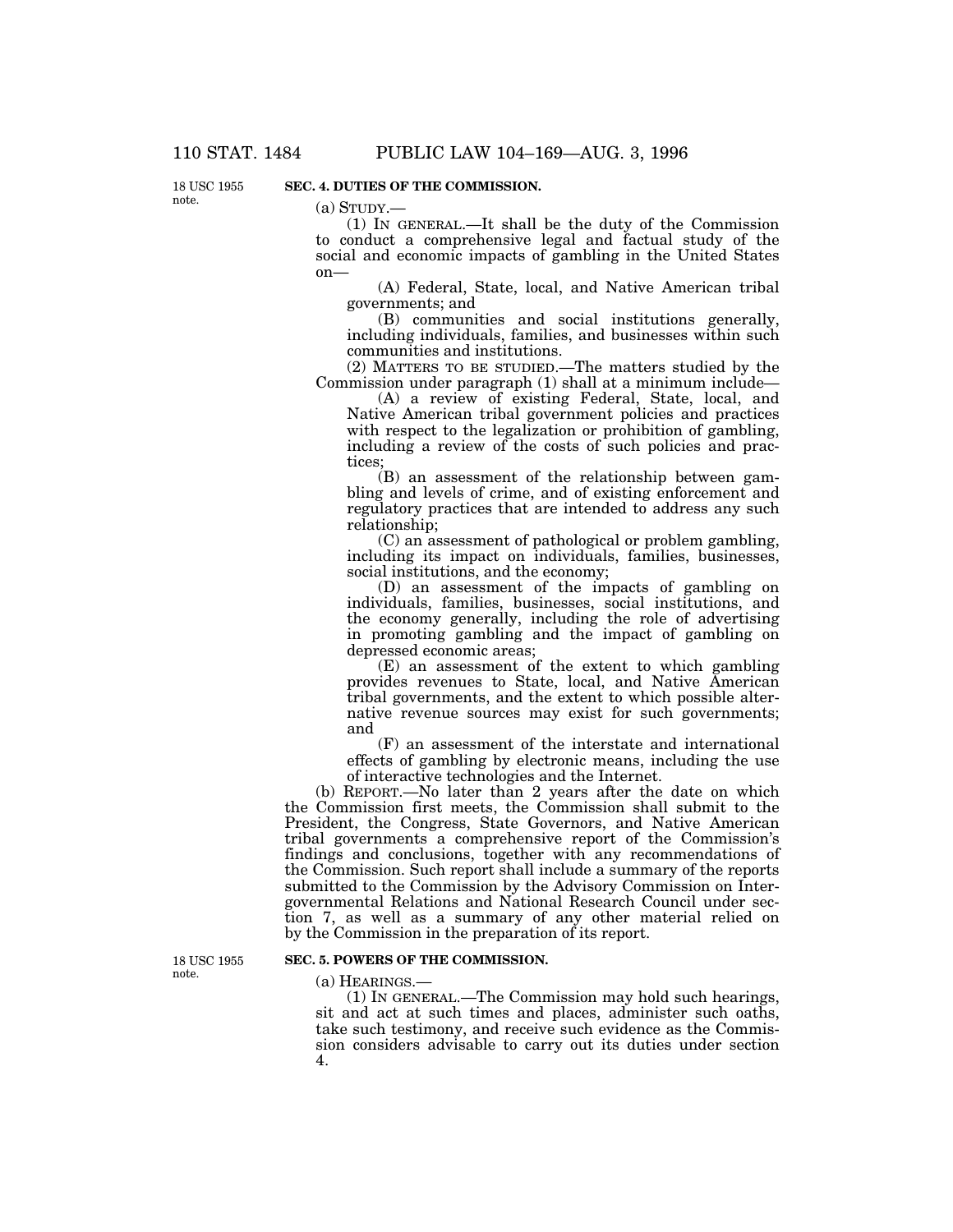18 USC 1955 note.

## **SEC. 4. DUTIES OF THE COMMISSION.**

 $(a)$  STUDY.—

(1) IN GENERAL.—It shall be the duty of the Commission to conduct a comprehensive legal and factual study of the social and economic impacts of gambling in the United States on—

(A) Federal, State, local, and Native American tribal governments; and

(B) communities and social institutions generally, including individuals, families, and businesses within such communities and institutions.

(2) MATTERS TO BE STUDIED.—The matters studied by the Commission under paragraph (1) shall at a minimum include—

(A) a review of existing Federal, State, local, and Native American tribal government policies and practices with respect to the legalization or prohibition of gambling, including a review of the costs of such policies and practices;

(B) an assessment of the relationship between gambling and levels of crime, and of existing enforcement and regulatory practices that are intended to address any such relationship;

(C) an assessment of pathological or problem gambling, including its impact on individuals, families, businesses, social institutions, and the economy;

(D) an assessment of the impacts of gambling on individuals, families, businesses, social institutions, and the economy generally, including the role of advertising in promoting gambling and the impact of gambling on depressed economic areas;

(E) an assessment of the extent to which gambling provides revenues to State, local, and Native American tribal governments, and the extent to which possible alternative revenue sources may exist for such governments; and

(F) an assessment of the interstate and international effects of gambling by electronic means, including the use of interactive technologies and the Internet.

(b) REPORT.—No later than 2 years after the date on which the Commission first meets, the Commission shall submit to the President, the Congress, State Governors, and Native American tribal governments a comprehensive report of the Commission's findings and conclusions, together with any recommendations of the Commission. Such report shall include a summary of the reports submitted to the Commission by the Advisory Commission on Intergovernmental Relations and National Research Council under section 7, as well as a summary of any other material relied on by the Commission in the preparation of its report.

18 USC 1955 note.

#### **SEC. 5. POWERS OF THE COMMISSION.**

(a) HEARINGS.—

(1) IN GENERAL.—The Commission may hold such hearings, sit and act at such times and places, administer such oaths, take such testimony, and receive such evidence as the Commission considers advisable to carry out its duties under section 4.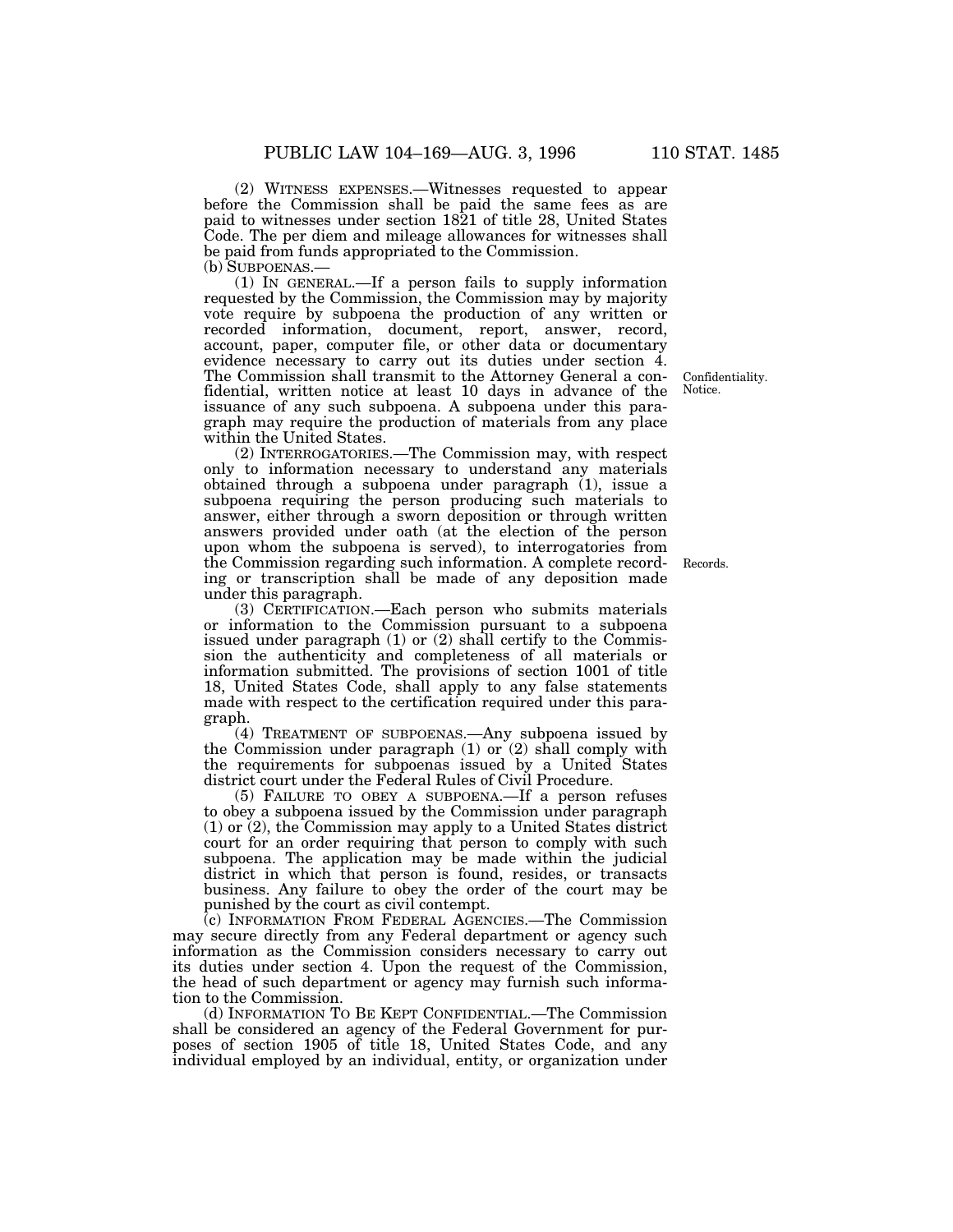(2) WITNESS EXPENSES.—Witnesses requested to appear before the Commission shall be paid the same fees as are paid to witnesses under section 1821 of title 28, United States Code. The per diem and mileage allowances for witnesses shall be paid from funds appropriated to the Commission. (b) SUBPOENAS.—

(1) IN GENERAL.—If a person fails to supply information requested by the Commission, the Commission may by majority vote require by subpoena the production of any written or recorded information, document, report, answer, record, account, paper, computer file, or other data or documentary evidence necessary to carry out its duties under section 4. The Commission shall transmit to the Attorney General a confidential, written notice at least 10 days in advance of the issuance of any such subpoena. A subpoena under this paragraph may require the production of materials from any place within the United States.

(2) INTERROGATORIES.—The Commission may, with respect only to information necessary to understand any materials obtained through a subpoena under paragraph (1), issue a subpoena requiring the person producing such materials to answer, either through a sworn deposition or through written answers provided under oath (at the election of the person upon whom the subpoena is served), to interrogatories from the Commission regarding such information. A complete recording or transcription shall be made of any deposition made under this paragraph.

(3) CERTIFICATION.—Each person who submits materials or information to the Commission pursuant to a subpoena issued under paragraph (1) or (2) shall certify to the Commission the authenticity and completeness of all materials or information submitted. The provisions of section 1001 of title 18, United States Code, shall apply to any false statements made with respect to the certification required under this paragraph.

(4) TREATMENT OF SUBPOENAS.—Any subpoena issued by the Commission under paragraph (1) or (2) shall comply with the requirements for subpoenas issued by a United States district court under the Federal Rules of Civil Procedure.

(5) FAILURE TO OBEY A SUBPOENA.—If a person refuses to obey a subpoena issued by the Commission under paragraph (1) or (2), the Commission may apply to a United States district court for an order requiring that person to comply with such subpoena. The application may be made within the judicial district in which that person is found, resides, or transacts business. Any failure to obey the order of the court may be punished by the court as civil contempt.

(c) INFORMATION FROM FEDERAL AGENCIES.—The Commission may secure directly from any Federal department or agency such information as the Commission considers necessary to carry out its duties under section 4. Upon the request of the Commission, the head of such department or agency may furnish such information to the Commission.

(d) INFORMATION TO BE KEPT CONFIDENTIAL.—The Commission shall be considered an agency of the Federal Government for purposes of section 1905 of title 18, United States Code, and any individual employed by an individual, entity, or organization under

Confidentiality. Notice.

Records.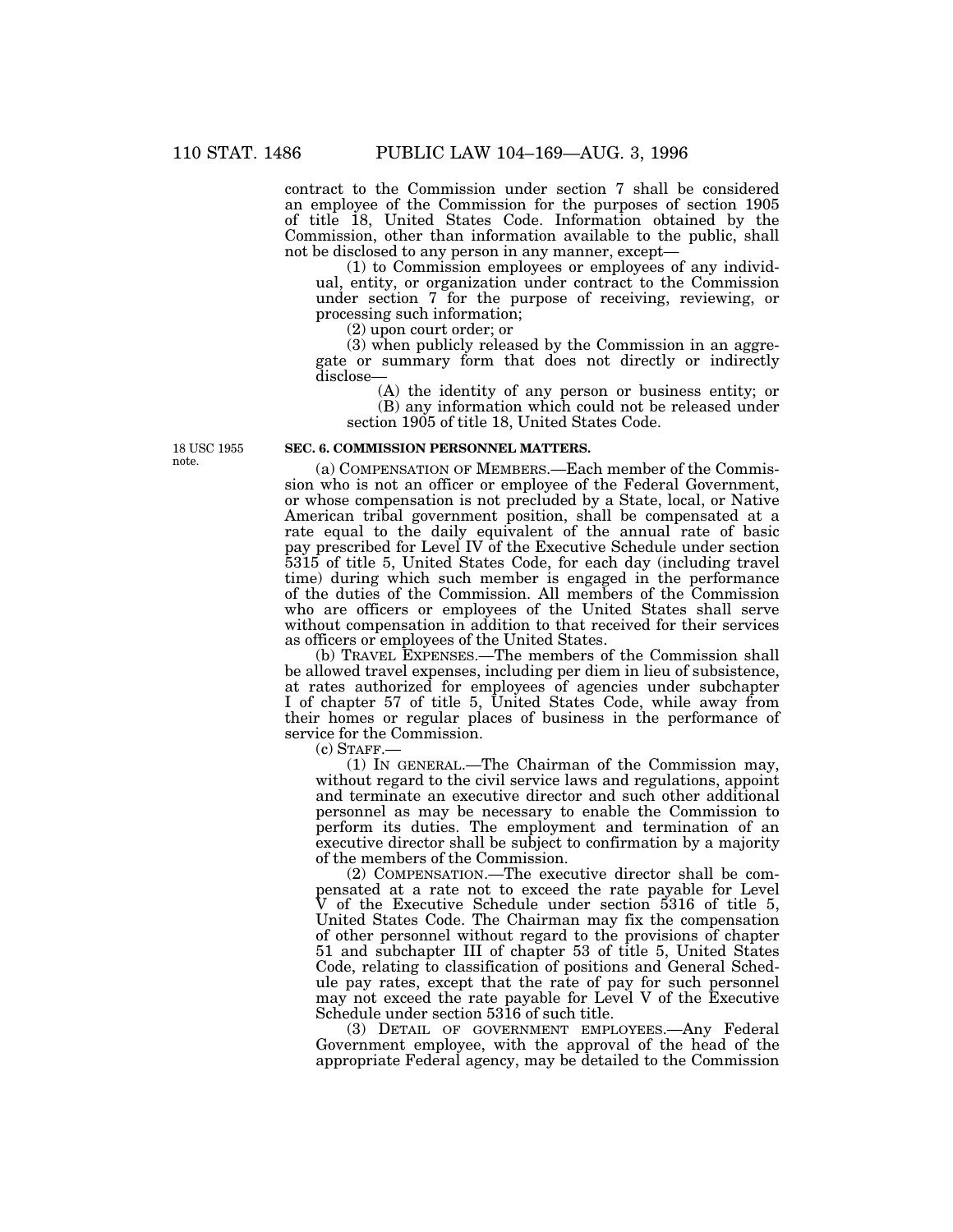contract to the Commission under section 7 shall be considered an employee of the Commission for the purposes of section 1905 of title 18, United States Code. Information obtained by the Commission, other than information available to the public, shall not be disclosed to any person in any manner, except—

(1) to Commission employees or employees of any individual, entity, or organization under contract to the Commission under section 7 for the purpose of receiving, reviewing, or processing such information;

(2) upon court order; or

(3) when publicly released by the Commission in an aggregate or summary form that does not directly or indirectly disclose—

(A) the identity of any person or business entity; or (B) any information which could not be released under section 1905 of title 18, United States Code.

18 USC 1955 note.

#### **SEC. 6. COMMISSION PERSONNEL MATTERS.**

(a) COMPENSATION OF MEMBERS.—Each member of the Commission who is not an officer or employee of the Federal Government, or whose compensation is not precluded by a State, local, or Native American tribal government position, shall be compensated at a rate equal to the daily equivalent of the annual rate of basic pay prescribed for Level IV of the Executive Schedule under section 5315 of title 5, United States Code, for each day (including travel time) during which such member is engaged in the performance of the duties of the Commission. All members of the Commission who are officers or employees of the United States shall serve without compensation in addition to that received for their services as officers or employees of the United States.

(b) TRAVEL EXPENSES.—The members of the Commission shall be allowed travel expenses, including per diem in lieu of subsistence, at rates authorized for employees of agencies under subchapter I of chapter 57 of title 5, United States Code, while away from their homes or regular places of business in the performance of service for the Commission.

(c) STAFF.—

(1) IN GENERAL.—The Chairman of the Commission may, without regard to the civil service laws and regulations, appoint and terminate an executive director and such other additional personnel as may be necessary to enable the Commission to perform its duties. The employment and termination of an executive director shall be subject to confirmation by a majority of the members of the Commission.

(2) COMPENSATION.—The executive director shall be compensated at a rate not to exceed the rate payable for Level V of the Executive Schedule under section 5316 of title 5, United States Code. The Chairman may fix the compensation of other personnel without regard to the provisions of chapter 51 and subchapter III of chapter 53 of title 5, United States Code, relating to classification of positions and General Schedule pay rates, except that the rate of pay for such personnel may not exceed the rate payable for Level V of the Executive Schedule under section 5316 of such title.

(3) DETAIL OF GOVERNMENT EMPLOYEES.—Any Federal Government employee, with the approval of the head of the appropriate Federal agency, may be detailed to the Commission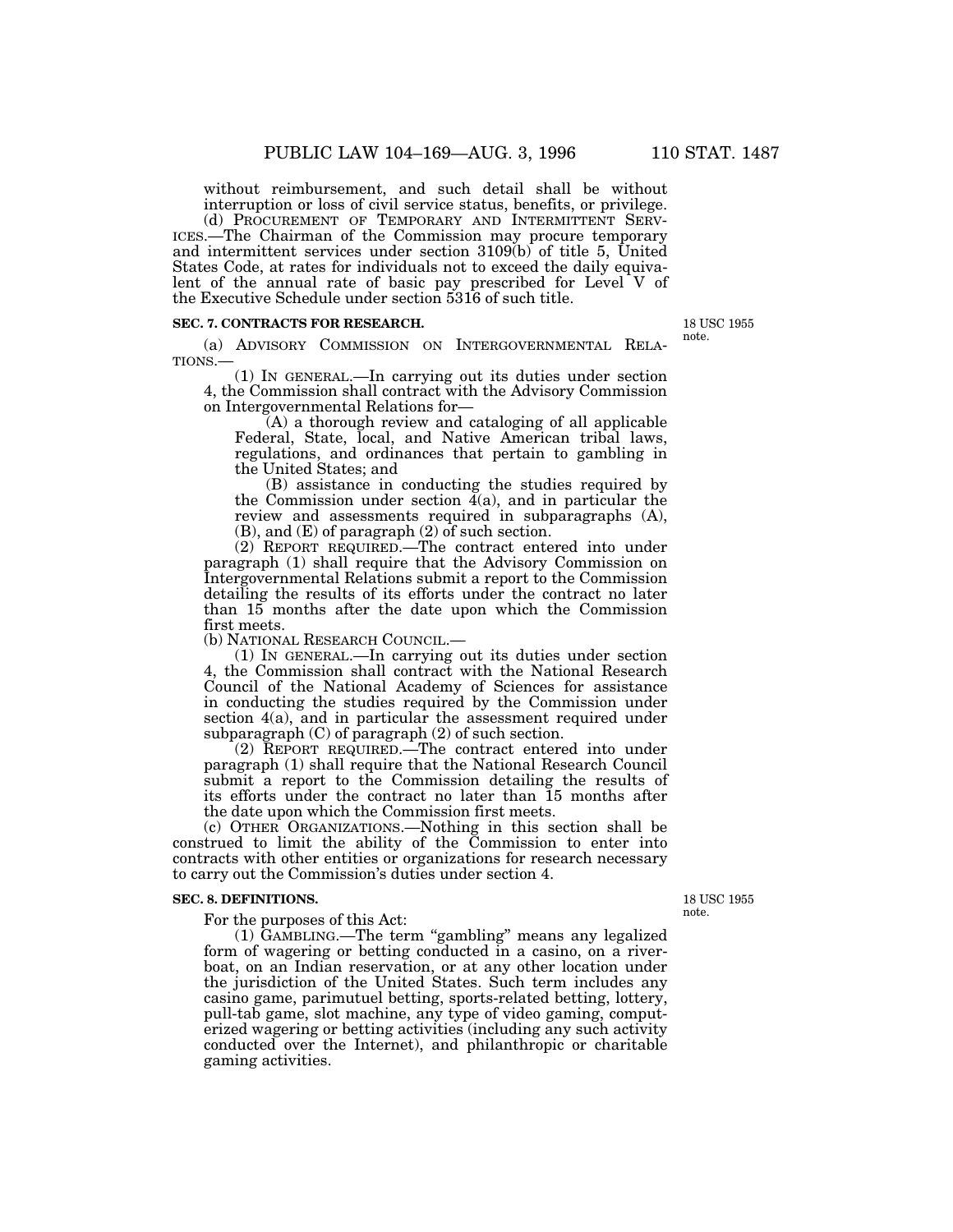without reimbursement, and such detail shall be without

interruption or loss of civil service status, benefits, or privilege.<br>(d) PROCUREMENT OF TEMPORARY AND INTERMITTENT SERV-(d) PROCUREMENT OF TEMPORARY AND INTERMITTENT SERV- ICES.—The Chairman of the Commission may procure temporary and intermittent services under section 3109(b) of title 5, United States Code, at rates for individuals not to exceed the daily equivalent of the annual rate of basic pay prescribed for Level V of the Executive Schedule under section 5316 of such title.

#### **SEC. 7. CONTRACTS FOR RESEARCH.**

(a) ADVISORY COMMISSION ON INTERGOVERNMENTAL RELA-TIONS.—

(1) IN GENERAL.—In carrying out its duties under section 4, the Commission shall contract with the Advisory Commission on Intergovernmental Relations for—

(A) a thorough review and cataloging of all applicable Federal, State, local, and Native American tribal laws, regulations, and ordinances that pertain to gambling in the United States; and

(B) assistance in conducting the studies required by the Commission under section 4(a), and in particular the review and assessments required in subparagraphs (A), (B), and (E) of paragraph (2) of such section.

(2) REPORT REQUIRED.—The contract entered into under paragraph (1) shall require that the Advisory Commission on Intergovernmental Relations submit a report to the Commission detailing the results of its efforts under the contract no later than 15 months after the date upon which the Commission first meets.

(b) NATIONAL RESEARCH COUNCIL.—

(1) IN GENERAL.—In carrying out its duties under section 4, the Commission shall contract with the National Research Council of the National Academy of Sciences for assistance in conducting the studies required by the Commission under section 4(a), and in particular the assessment required under subparagraph  $(C)$  of paragraph  $(2)$  of such section.

(2) REPORT REQUIRED.—The contract entered into under paragraph (1) shall require that the National Research Council submit a report to the Commission detailing the results of its efforts under the contract no later than 15 months after the date upon which the Commission first meets.

(c) OTHER ORGANIZATIONS.—Nothing in this section shall be construed to limit the ability of the Commission to enter into contracts with other entities or organizations for research necessary to carry out the Commission's duties under section 4.

#### **SEC. 8. DEFINITIONS.**

For the purposes of this Act:

(1) GAMBLING.—The term ''gambling'' means any legalized form of wagering or betting conducted in a casino, on a riverboat, on an Indian reservation, or at any other location under the jurisdiction of the United States. Such term includes any casino game, parimutuel betting, sports-related betting, lottery, pull-tab game, slot machine, any type of video gaming, computerized wagering or betting activities (including any such activity conducted over the Internet), and philanthropic or charitable gaming activities.

18 USC 1955 note.

18 USC 1955 note.